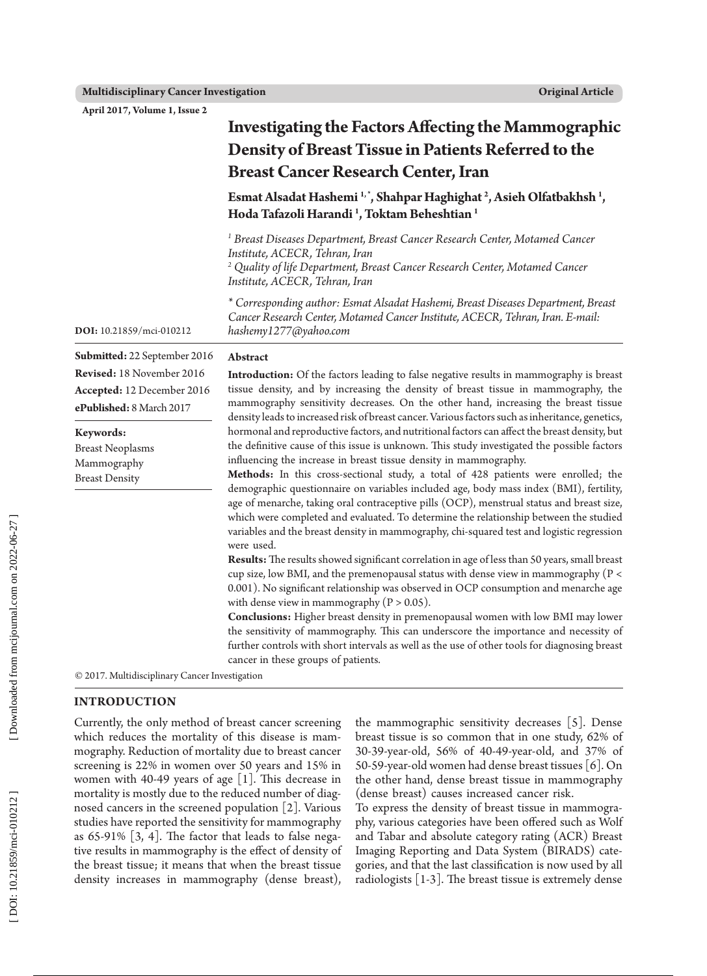**April 2017, Volume 1, Issue 2**

|                                                                                     | <b>Investigating the Factors Affecting the Mammographic</b><br>Density of Breast Tissue in Patients Referred to the<br><b>Breast Cancer Research Center, Iran</b>                                                                                                                                                                                                                                                                                                                                                                                                                                                                                                                                                                                  |  |  |  |  |
|-------------------------------------------------------------------------------------|----------------------------------------------------------------------------------------------------------------------------------------------------------------------------------------------------------------------------------------------------------------------------------------------------------------------------------------------------------------------------------------------------------------------------------------------------------------------------------------------------------------------------------------------------------------------------------------------------------------------------------------------------------------------------------------------------------------------------------------------------|--|--|--|--|
|                                                                                     | Esmat Alsadat Hashemi <sup>1,*</sup> , Shahpar Haghighat <sup>2</sup> , Asieh Olfatbakhsh <sup>1</sup> ,<br>Hoda Tafazoli Harandi <sup>1</sup> , Toktam Beheshtian <sup>1</sup>                                                                                                                                                                                                                                                                                                                                                                                                                                                                                                                                                                    |  |  |  |  |
|                                                                                     | <sup>1</sup> Breast Diseases Department, Breast Cancer Research Center, Motamed Cancer<br>Institute, ACECR, Tehran, Iran<br><sup>2</sup> Quality of life Department, Breast Cancer Research Center, Motamed Cancer<br>Institute, ACECR, Tehran, Iran                                                                                                                                                                                                                                                                                                                                                                                                                                                                                               |  |  |  |  |
| DOI: 10.21859/mci-010212                                                            | * Corresponding author: Esmat Alsadat Hashemi, Breast Diseases Department, Breast<br>Cancer Research Center, Motamed Cancer Institute, ACECR, Tehran, Iran. E-mail:<br>hashemy1277@yahoo.com                                                                                                                                                                                                                                                                                                                                                                                                                                                                                                                                                       |  |  |  |  |
| Submitted: 22 September 2016                                                        | Abstract                                                                                                                                                                                                                                                                                                                                                                                                                                                                                                                                                                                                                                                                                                                                           |  |  |  |  |
| Revised: 18 November 2016<br>Accepted: 12 December 2016<br>ePublished: 8 March 2017 | <b>Introduction:</b> Of the factors leading to false negative results in mammography is breast<br>tissue density, and by increasing the density of breast tissue in mammography, the<br>mammography sensitivity decreases. On the other hand, increasing the breast tissue<br>density leads to increased risk of breast cancer. Various factors such as inheritance, genetics,                                                                                                                                                                                                                                                                                                                                                                     |  |  |  |  |
| Keywords:<br><b>Breast Neoplasms</b><br>Mammography<br><b>Breast Density</b>        | hormonal and reproductive factors, and nutritional factors can affect the breast density, but<br>the definitive cause of this issue is unknown. This study investigated the possible factors<br>influencing the increase in breast tissue density in mammography.<br>Methods: In this cross-sectional study, a total of 428 patients were enrolled; the<br>demographic questionnaire on variables included age, body mass index (BMI), fertility,<br>age of menarche, taking oral contraceptive pills (OCP), menstrual status and breast size,<br>which were completed and evaluated. To determine the relationship between the studied<br>variables and the breast density in mammography, chi-squared test and logistic regression<br>were used. |  |  |  |  |
|                                                                                     | Results: The results showed significant correlation in age of less than 50 years, small breast<br>cup size, low BMI, and the premenopausal status with dense view in mammography (P <<br>0.001). No significant relationship was observed in OCP consumption and menarche age<br>with dense view in mammography ( $P > 0.05$ ).<br>Conclusions: Higher breast density in premenopausal women with low BMI may lower<br>the sensitivity of mammography. This can underscore the importance and necessity of<br>further controls with short intervals as well as the use of other tools for diagnosing breast<br>cancer in these groups of patients.                                                                                                 |  |  |  |  |

© 2017. Multidisciplinary Cancer Investigation

#### **INTRODUCTION**

Currently, the only method of breast cancer screening which reduces the mortality of this disease is mam mography. Reduction of mortality due to breast cancer screening is 22% in women over 50 years and 15% in women with 40-49 years of age [1]. This decrease in mortality is mostly due to the reduced number of diag nosed cancers in the screened population [2]. Various studies have reported the sensitivity for mammography as 65-91% [3, 4]. The factor that leads to false nega tive results in mammography is the effect of density of the breast tissue; it means that when the breast tissue density increases in mammography (dense breast),

the mammographic sensitivity decreases [5]. Dense breast tissue is so common that in one study, 62% of 30-39-year-old, 56% of 40-49-year-old, and 37% of 50-59-year-old women had dense breast tissues [6]. On the other hand, dense breast tissue in mammography (dense breast) causes increased cancer risk.

To express the density of breast tissue in mammogra phy, various categories have been offered such as Wolf and Tabar and absolute category rating (ACR) Breast Imaging Reporting and Data System (BIRADS) cate gories, and that the last classification is now used by all radiologists [1-3]. The breast tissue is extremely dense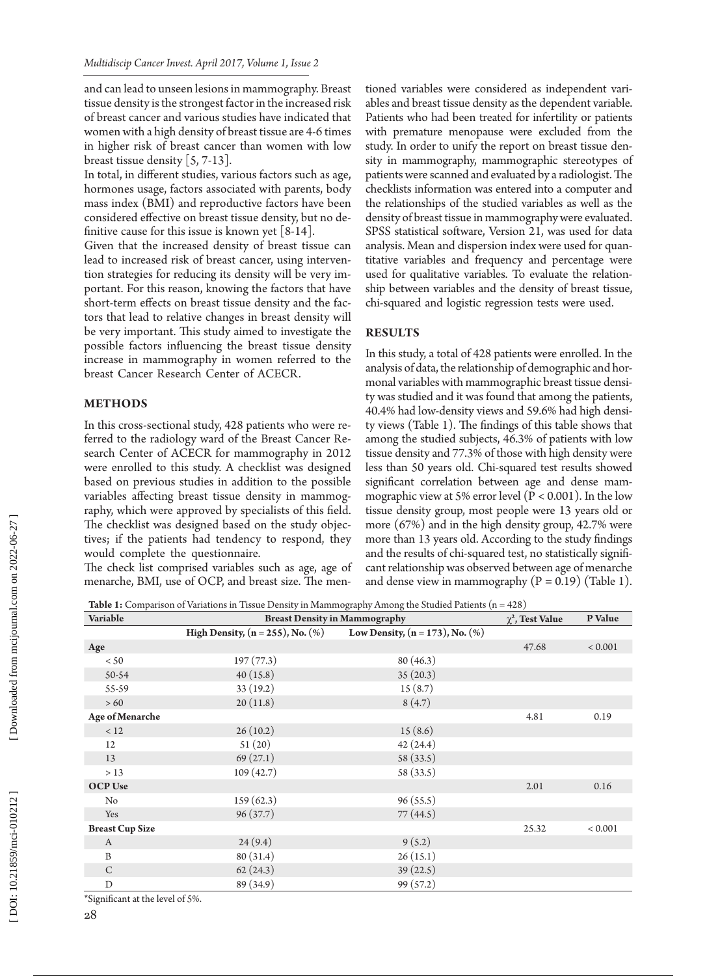and can lead to unseen lesions in mammography. Breast tissue density is the strongest factor in the increased risk of breast cancer and various studies have indicated that women with a high density of breast tissue are 4-6 times in higher risk of breast cancer than women with low breast tissue density [5, 7-13].

In total, in different studies, various factors such as age, hormones usage, factors associated with parents, body mass index (BMI) and reproductive factors have been considered effective on breast tissue density, but no de finitive cause for this issue is known yet  $[8-14]$ .

Given that the increased density of breast tissue can lead to increased risk of breast cancer, using interven tion strategies for reducing its density will be very im portant. For this reason, knowing the factors that have short-term effects on breast tissue density and the fac tors that lead to relative changes in breast density will be very important. This study aimed to investigate the possible factors influencing the breast tissue density increase in mammography in women referred to the breast Cancer Research Center of ACECR.

## **METHODS**

In this cross-sectional study, 428 patients who were re ferred to the radiology ward of the Breast Cancer Re search Center of ACECR for mammography in 2012 were enrolled to this study. A checklist was designed based on previous studies in addition to the possible variables affecting breast tissue density in mammog raphy, which were approved by specialists of this field. The checklist was designed based on the study objec tives; if the patients had tendency to respond, they would complete the questionnaire.

The check list comprised variables such as age, age of menarche, BMI, use of OCP, and breast size. The men -

tioned variables were considered as independent vari ables and breast tissue density as the dependent variable. Patients who had been treated for infertility or patients with premature menopause were excluded from the study. In order to unify the report on breast tissue den sity in mammography, mammographic stereotypes of patients were scanned and evaluated by a radiologist. The checklists information was entered into a computer and the relationships of the studied variables as well as the density of breast tissue in mammography were evaluated. SPSS statistical software, Version 21, was used for data analysis. Mean and dispersion index were used for quan titative variables and frequency and percentage were used for qualitative variables. To evaluate the relation ship between variables and the density of breast tissue, chi-squared and logistic regression tests were used.

#### **RESULTS**

In this study, a total of 428 patients were enrolled. In the analysis of data, the relationship of demographic and hor monal variables with mammographic breast tissue densi ty was studied and it was found that among the patients, 40.4% had low-density views and 59.6% had high densi ty views (Table 1). The findings of this table shows that among the studied subjects, 46.3% of patients with low tissue density and 77.3% of those with high density were less than 50 years old. Chi-squared test results showed significant correlation between age and dense mam mographic view at 5% error level ( $P < 0.001$ ). In the low tissue density group, most people were 13 years old or more (67%) and in the high density group, 42.7% were more than 13 years old. According to the study findings and the results of chi-squared test, no statistically signifi cant relationship was observed between age of menarche and dense view in mammography  $(P = 0.19)$  (Table 1).

**Table 1:** Comparison of Variations in Tissue Density in Mammography Among the Studied Patients (n = 428)

| Variable               | <b>Breast Density in Mammography</b>                    |                                       | $\gamma^2$ , Test Value | P Value     |
|------------------------|---------------------------------------------------------|---------------------------------------|-------------------------|-------------|
|                        | <b>High Density, <math>(n = 255)</math>, No.</b> $(\%)$ | Low Density, $(n = 173)$ , No. $(\%)$ |                         |             |
| Age                    |                                                         |                                       | 47.68                   | ${}< 0.001$ |
| < 50                   | 197(77.3)                                               | 80(46.3)                              |                         |             |
| $50-54$                | 40(15.8)                                                | 35(20.3)                              |                         |             |
| 55-59                  | 33(19.2)                                                | 15(8.7)                               |                         |             |
| >60                    | 20(11.8)                                                | 8(4.7)                                |                         |             |
| Age of Menarche        |                                                         |                                       | 4.81                    | 0.19        |
| < 12                   | 26(10.2)                                                | 15(8.6)                               |                         |             |
| 12                     | 51(20)                                                  | 42(24.4)                              |                         |             |
| 13                     | 69(27.1)                                                | 58 (33.5)                             |                         |             |
| >13                    | 109(42.7)                                               | 58 (33.5)                             |                         |             |
| <b>OCP Use</b>         |                                                         |                                       | 2.01                    | 0.16        |
| No                     | 159(62.3)                                               | 96(55.5)                              |                         |             |
| Yes                    | 96(37.7)                                                | 77(44.5)                              |                         |             |
| <b>Breast Cup Size</b> |                                                         |                                       | 25.32                   | ${}< 0.001$ |
| $\boldsymbol{A}$       | 24(9.4)                                                 | 9(5.2)                                |                         |             |
| B                      | 80(31.4)                                                | 26(15.1)                              |                         |             |
| $\mathcal{C}$          | 62(24.3)                                                | 39(22.5)                              |                         |             |
| D                      | 89 (34.9)                                               | 99 (57.2)                             |                         |             |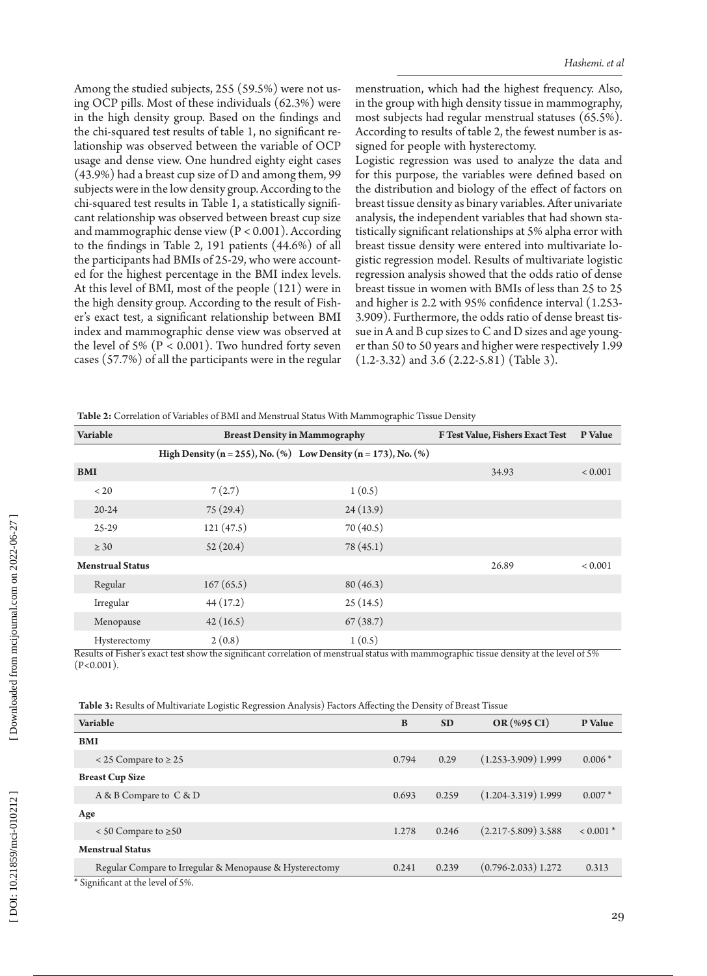Among the studied subjects, 255 (59.5%) were not us ing OCP pills. Most of these individuals (62.3%) were in the high density group. Based on the findings and the chi-squared test results of table 1, no significant re lationship was observed between the variable of OCP usage and dense view. One hundred eighty eight cases (43.9%) had a breast cup size of D and among them, 99 subjects were in the low density group. According to the chi-squared test results in Table 1, a statistically signifi cant relationship was observed between breast cup size and mammographic dense view ( $P < 0.001$ ). According to the findings in Table 2, 191 patients (44.6%) of all the participants had BMIs of 25-29, who were account ed for the highest percentage in the BMI index levels. At this level of BMI, most of the people (121) were in the high density group. According to the result of Fish er's exact test, a significant relationship between BMI index and mammographic dense view was observed at the level of 5% ( $P < 0.001$ ). Two hundred forty seven cases (57.7%) of all the participants were in the regular

menstruation, which had the highest frequency. Also, in the group with high density tissue in mammography, most subjects had regular menstrual statuses (65.5%). According to results of table 2, the fewest number is as signed for people with hysterectomy.

Logistic regression was used to analyze the data and for this purpose, the variables were defined based on the distribution and biology of the effect of factors on breast tissue density as binary variables. After univariate analysis, the independent variables that had shown sta tistically significant relationships at 5% alpha error with breast tissue density were entered into multivariate lo gistic regression model. Results of multivariate logistic regression analysis showed that the odds ratio of dense breast tissue in women with BMIs of less than 25 to 25 and higher is 2.2 with 95% confidence interval (1.253- 3.909). Furthermore, the odds ratio of dense breast tis sue in A and B cup sizes to C and D sizes and age young er than 50 to 50 years and higher were respectively 1.99 (1.2-3.32) and 3.6 (2.22-5.81) (Table 3).

**Table 2:** Correlation of Variables of BMI and Menstrual Status With Mammographic Tissue Density

| Variable                | <b>Breast Density in Mammography</b>                           |          | F Test Value, Fishers Exact Test | P Value        |
|-------------------------|----------------------------------------------------------------|----------|----------------------------------|----------------|
|                         | High Density (n = 255), No. (%) Low Density (n = 173), No. (%) |          |                                  |                |
| <b>BMI</b>              |                                                                |          | 34.93                            | ${}_{< 0.001}$ |
| < 20                    | 7(2.7)                                                         | 1(0.5)   |                                  |                |
| $20 - 24$               | 75(29.4)                                                       | 24(13.9) |                                  |                |
| $25 - 29$               | 121(47.5)                                                      | 70(40.5) |                                  |                |
| $\geq 30$               | 52(20.4)                                                       | 78(45.1) |                                  |                |
| <b>Menstrual Status</b> |                                                                |          | 26.89                            | ${}_{< 0.001}$ |
| Regular                 | 167(65.5)                                                      | 80(46.3) |                                  |                |
| Irregular               | 44(17.2)                                                       | 25(14.5) |                                  |                |
| Menopause               | 42(16.5)                                                       | 67(38.7) |                                  |                |
| Hysterectomy            | 2(0.8)                                                         | 1(0.5)   |                                  |                |

Results of Fisher's exact test show the significant correlation of menstrual status with mammographic tissue density at the level of 5%  $(P<0.001)$ .

**Table 3:** Results of Multivariate Logistic Regression Analysis) Factors Affecting the Density of Breast Tissue

| Variable                                                | B     | <b>SD</b> | OR (%95 CI)             | P Value     |
|---------------------------------------------------------|-------|-----------|-------------------------|-------------|
| <b>BMI</b>                                              |       |           |                         |             |
| $\le$ 25 Compare to $\ge$ 25                            | 0.794 | 0.29      | $(1.253 - 3.909)$ 1.999 | $0.006*$    |
| <b>Breast Cup Size</b>                                  |       |           |                         |             |
| A & B Compare to C & D                                  | 0.693 | 0.259     | $(1.204 - 3.319)$ 1.999 | $0.007*$    |
| Age                                                     |       |           |                         |             |
| $\le$ 50 Compare to $\ge$ 50                            | 1.278 | 0.246     | $(2.217 - 5.809)$ 3.588 | $< 0.001$ * |
| <b>Menstrual Status</b>                                 |       |           |                         |             |
| Regular Compare to Irregular & Menopause & Hysterectomy | 0.241 | 0.239     | $(0.796 - 2.033)$ 1.272 | 0.313       |
| * Significant at the level of 5%.                       |       |           |                         |             |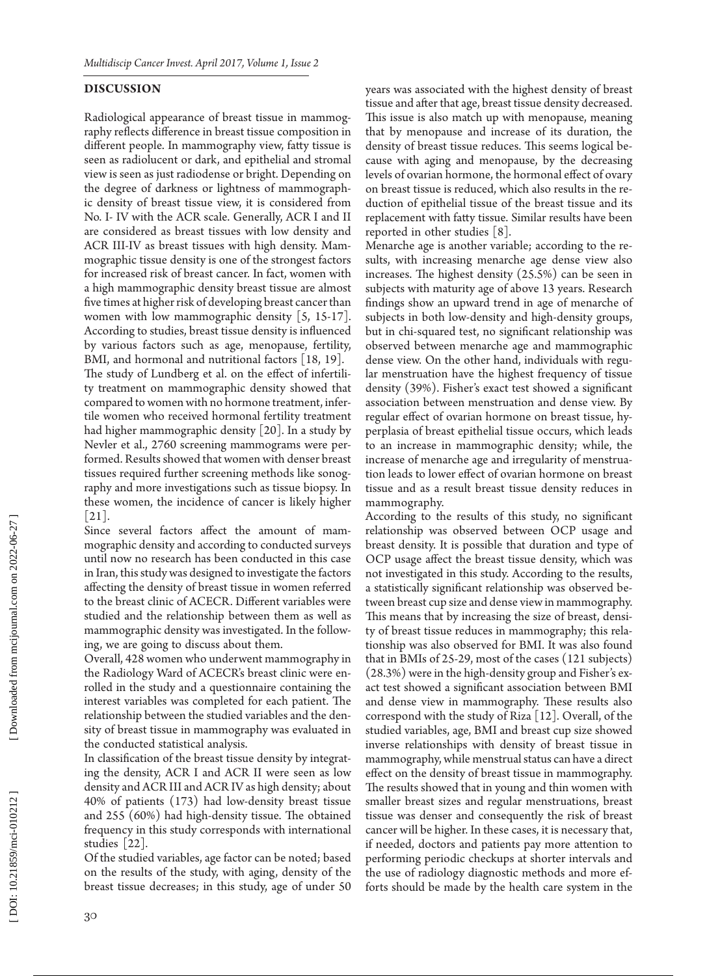#### **DISCUSSION**

Radiological appearance of breast tissue in mammog raphy reflects difference in breast tissue composition in different people. In mammography view, fatty tissue is seen as radiolucent or dark, and epithelial and stromal view is seen as just radiodense or bright. Depending on the degree of darkness or lightness of mammograph ic density of breast tissue view, it is considered from No. I- IV with the ACR scale. Generally, ACR I and II are considered as breast tissues with low density and ACR III-IV as breast tissues with high density. Mam mographic tissue density is one of the strongest factors for increased risk of breast cancer. In fact, women with a high mammographic density breast tissue are almost five times at higher risk of developing breast cancer than women with low mammographic density [5, 15-17]. According to studies, breast tissue density is influenced by various factors such as age, menopause, fertility, BMI, and hormonal and nutritional factors [18, 19]. The study of Lundberg et al. on the effect of infertili ty treatment on mammographic density showed that compared to women with no hormone treatment, infer tile women who received hormonal fertility treatment had higher mammographic density [20]. In a study by Nevler et al., 2760 screening mammograms were per formed. Results showed that women with denser breast tissues required further screening methods like sonog raphy and more investigations such as tissue biopsy. In these women, the incidence of cancer is likely higher  $|21|$ .

Since several factors affect the amount of mam mographic density and according to conducted surveys until now no research has been conducted in this case in Iran, this study was designed to investigate the factors affecting the density of breast tissue in women referred to the breast clinic of ACECR. Different variables were studied and the relationship between them as well as mammographic density was investigated. In the follow ing, we are going to discuss about them.

Overall, 428 women who underwent mammography in the Radiology Ward of ACECR's breast clinic were en rolled in the study and a questionnaire containing the interest variables was completed for each patient. The relationship between the studied variables and the den sity of breast tissue in mammography was evaluated in the conducted statistical analysis.

In classification of the breast tissue density by integrat ing the density, ACR I and ACR II were seen as low density and ACR III and ACR IV as high density; about 40% of patients (173) had low-density breast tissue and 255 (60%) had high-density tissue. The obtained frequency in this study corresponds with international studies [22].

Of the studied variables, age factor can be noted; based on the results of the study, with aging, density of the breast tissue decreases; in this study, age of under 50 years was associated with the highest density of breast tissue and after that age, breast tissue density decreased. This issue is also match up with menopause, meaning that by menopause and increase of its duration, the density of breast tissue reduces. This seems logical be cause with aging and menopause, by the decreasing levels of ovarian hormone, the hormonal effect of ovary on breast tissue is reduced, which also results in the re duction of epithelial tissue of the breast tissue and its replacement with fatty tissue. Similar results have been reported in other studies [8].

Menarche age is another variable; according to the re sults, with increasing menarche age dense view also increases. The highest density (25.5%) can be seen in subjects with maturity age of above 13 years. Research findings show an upward trend in age of menarche of subjects in both low-density and high-density groups, but in chi-squared test, no significant relationship was observed between menarche age and mammographic dense view. On the other hand, individuals with regu lar menstruation have the highest frequency of tissue density (39%). Fisher's exact test showed a significant association between menstruation and dense view. By regular effect of ovarian hormone on breast tissue, hy perplasia of breast epithelial tissue occurs, which leads to an increase in mammographic density; while, the increase of menarche age and irregularity of menstrua tion leads to lower effect of ovarian hormone on breast tissue and as a result breast tissue density reduces in mammography.

According to the results of this study, no significant relationship was observed between OCP usage and breast density. It is possible that duration and type of OCP usage affect the breast tissue density, which was not investigated in this study. According to the results, a statistically significant relationship was observed be tween breast cup size and dense view in mammography. This means that by increasing the size of breast, densi ty of breast tissue reduces in mammography; this rela tionship was also observed for BMI. It was also found that in BMIs of 25-29, most of the cases (121 subjects) (28.3%) were in the high-density group and Fisher's ex act test showed a significant association between BMI and dense view in mammography. These results also correspond with the study of Riza [12]. Overall, of the studied variables, age, BMI and breast cup size showed inverse relationships with density of breast tissue in mammography, while menstrual status can have a direct effect on the density of breast tissue in mammography. The results showed that in young and thin women with smaller breast sizes and regular menstruations, breast tissue was denser and consequently the risk of breast cancer will be higher. In these cases, it is necessary that, if needed, doctors and patients pay more attention to performing periodic checkups at shorter intervals and the use of radiology diagnostic methods and more efforts should be made by the health care system in the